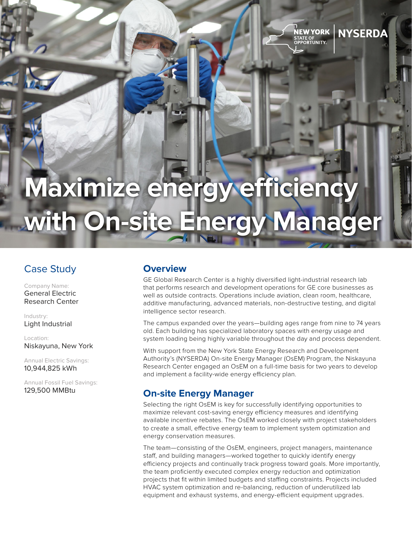# **Maximize energy efficiency with On-site Energy Manager**

# Case Study

Company Name: General Electric Research Center

Industry: Light Industrial

Location: Niskayuna, New York

Annual Electric Savings: 10,944,825 kWh

Annual Fossil Fuel Savings: 129,500 MMBtu

#### **Overview**

GE Global Research Center is a highly diversified light-industrial research lab that performs research and development operations for GE core businesses as well as outside contracts. Operations include aviation, clean room, healthcare, additive manufacturing, advanced materials, non-destructive testing, and digital intelligence sector research.

NEW YORK

STATE OF<br>OPPORTUNITY.

**NYSERDA** 

The campus expanded over the years—building ages range from nine to 74 years old. Each building has specialized laboratory spaces with energy usage and system loading being highly variable throughout the day and process dependent.

With support from the New York State Energy Research and Development Authority's (NYSERDA) On-site Energy Manager (OsEM) Program, the Niskayuna Research Center engaged an OsEM on a full-time basis for two years to develop and implement a facility-wide energy efficiency plan.

### **On-site Energy Manager**

Selecting the right OsEM is key for successfully identifying opportunities to maximize relevant cost-saving energy efficiency measures and identifying available incentive rebates. The OsEM worked closely with project stakeholders to create a small, effective energy team to implement system optimization and energy conservation measures.

The team—consisting of the OsEM, engineers, project managers, maintenance staff, and building managers—worked together to quickly identify energy efficiency projects and continually track progress toward goals. More importantly, the team proficiently executed complex energy reduction and optimization projects that fit within limited budgets and staffing constraints. Projects included HVAC system optimization and re-balancing, reduction of underutilized lab equipment and exhaust systems, and energy-efficient equipment upgrades.